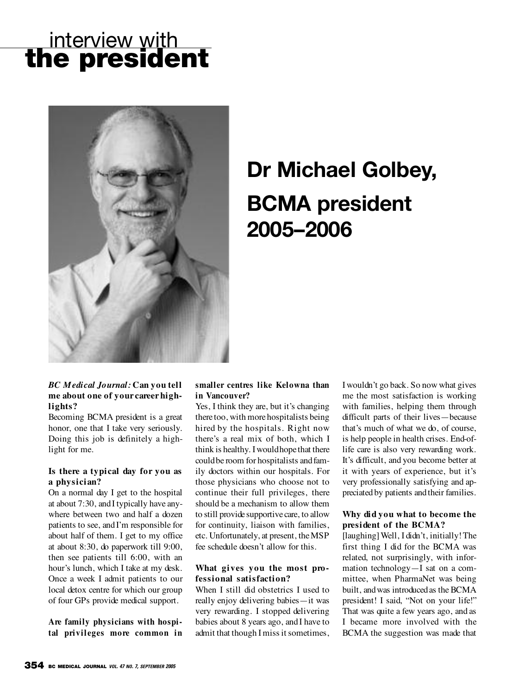## interview with **the president**



# **Dr Michael Golbey, BCMA president 2005–2006**

#### *BC Medical Journal:* **Can you tell me about one of your career highlights?**

Becoming BCMA president is a great honor, one that I take very seriously. Doing this job is definitely a highlight for me.

#### **Is there a typical day for you as a physician?**

On a normal day I get to the hospital at about 7:30, andI typically have anywhere between two and half a dozen patients to see, and I'm responsible for about half of them. I get to my office at about 8:30, do paperwork till 9:00, then see patients till 6:00, with an hour's lunch, which I take at my desk. Once a week I admit patients to our local detox centre for which our group of four GPs provide medical support.

**Are family physicians with hospital privileges more common in**

#### **smaller centres like Kelowna than in Vancouver?**

Yes, I think they are, but it's changing theretoo, with morehospitalists being hired by the hospitals. Right now there's a real mix of both, which I think is healthy. I wouldhopethat there couldbe room for hospitalists andfamily doctors within our hospitals. For those physicians who choose not to continue their full privileges, there should be a mechanism to allow them to still provide supportive care, to allow for continuity, liaison with families, etc. Unfortunately, at present, the MSP fee schedule doesn't allow for this.

#### **What gives you the most professional satisfaction?**

When I still did obstetrics I used to really enjoy delivering babies—it was very rewarding. I stopped delivering babies about 8 years ago, and I have to admit that though I miss it sometimes, I wouldn't go back. So now what gives me the most satisfaction is working with families, helping them through difficult parts of their lives—because that's much of what we do, of course, is help people in health crises. End-oflife care is also very rewarding work. It's difficult, and you become better at it with years of experience, but it's very professionally satisfying and appreciated by patients and their families.

#### **Why did you what to become the president of the BCMA?**

[laughing] Well, I didn't, initially! The first thing I did for the BCMA was related, not surprisingly, with information technology—I sat on a committee, when PharmaNet was being built, andwas introducedas the BCMA president! I said, "Not on your life!" That was quite a few years ago, and as I became more involved with the BCMA the suggestion was made that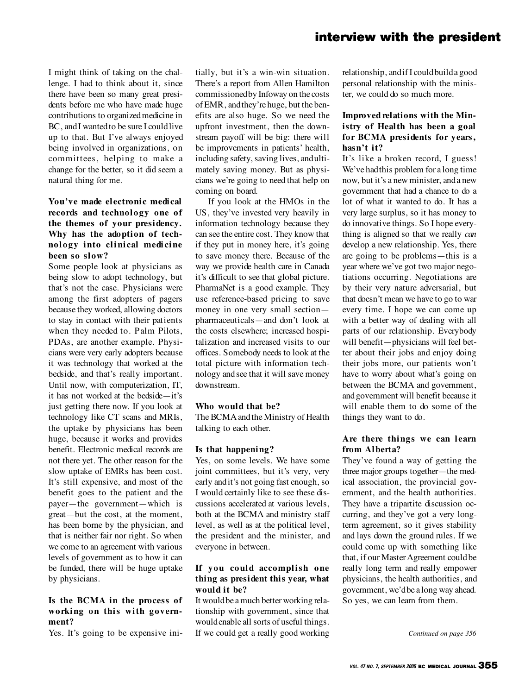## **interview with the president**

I might think of taking on the challenge. I had to think about it, since there have been so many great presidents before me who have made huge contributions to organizedmedicine in BC, and I wanted to be sure I could live up to that. But I've always enjoyed being involved in organizations, on committees, helping to make a change for the better, so it did seem a natural thing for me.

#### **You've made electronic medical records and technology one of the themes of your presidency. Why has the adoption of technology** into clinical medicine **been so slow?**

Some people look at physicians as being slow to adopt technology, but that's not the case. Physicians were among the first adopters of pagers because they worked, allowing doctors to stay in contact with their patients when they needed to. Palm Pilots, PDAs, are another example. Physicians were very early adopters because it was technology that worked at the bedside, and that's really important. Until now, with computerization, IT, it has not worked at the bedside—it's just getting there now. If you look at technology like CT scans and MRIs, the uptake by physicians has been huge, because it works and provides benefit. Electronic medical records are not there yet. The other reason for the slow uptake of EMRs has been cost. It's still expensive, and most of the benefit goes to the patient and the payer—the government—which is great—but the cost, at the moment, has been borne by the physician, and that is neither fair nor right. So when we come to an agreement with various levels of government as to how it can be funded, there will be huge uptake by physicians.

#### **Is the BCMA in the process of working on this with government?**

Yes. It's going to be expensive ini-

tially, but it's a win-win situation. There's a report from Allen Hamilton commissionedby Infoway on thecosts of EMR, andthey're huge, but the benefits are also huge. So we need the upfront investment, then the downstream payoff will be big: there will be improvements in patients' health, including safety, saving lives, andultimately saving money. But as physicians we're going to need that help on coming on board.

If you look at the HMOs in the US, they've invested very heavily in information technology because they can see the entire cost. They know that if they put in money here, it's going to save money there. Because of the way we provide health care in Canada it's difficult to see that global picture. PharmaNet is a good example. They use reference-based pricing to save money in one very small section pharmaceuticals—and don't look at the costs elsewhere; increased hospitalization and increased visits to our offices. Somebody needs to look at the total picture with information technology andsee that it will save money downstream.

#### **Who would that be?**

The BCMAandthe Ministry of Health talking to each other.

#### **Is that happening?**

Yes, on some levels. We have some joint committees, but it's very, very early andit's not going fast enough, so I would certainly like to see these discussions accelerated at various levels, both at the BCMA and ministry staff level, as well as at the political level, the president and the minister, and everyone in between.

#### **If you could accomplish one thing as president this year, what would it be?**

It wouldbe a much better working relationship with government, since that wouldenable all sorts of useful things. If we could get a really good working

relationship, andif I couldbuilda good personal relationship with the minister, we could do so much more.

#### **Improved relations with the Ministry of Health has been a goal for BCMA presidents for years, hasn't it?**

It's like a broken record, I guess! We've hadthis problem for a long time now, but it's a new minister, anda new government that had a chance to do a lot of what it wanted to do. It has a very large surplus, so it has money to do innovative things. So I hope everything is aligned so that we really *can* develop a new relationship. Yes, there are going to be problems—this is a year where we've got two major negotiations occurring. Negotiations are by their very nature adversarial, but that doesn't mean we have to go to war every time. I hope we can come up with a better way of dealing with all parts of our relationship. Everybody will benefit—physicians will feel better about their jobs and enjoy doing their jobs more, our patients won't have to worry about what's going on between the BCMA and government, andgovernment will benefit because it will enable them to do some of the things they want to do.

#### Are there things we can learn **from Alberta?**

They've found a way of getting the three major groups together—the medical association, the provincial government, and the health authorities. They have a tripartite discussion occurring, and they've got a very longterm agreement, so it gives stability and lays down the ground rules. If we could come up with something like that, if our Master Agreement could be really long term and really empower physicians, the health authorities, and government, we'dbe a long way ahead. So yes, we can learn from them.

*Continued on page 356*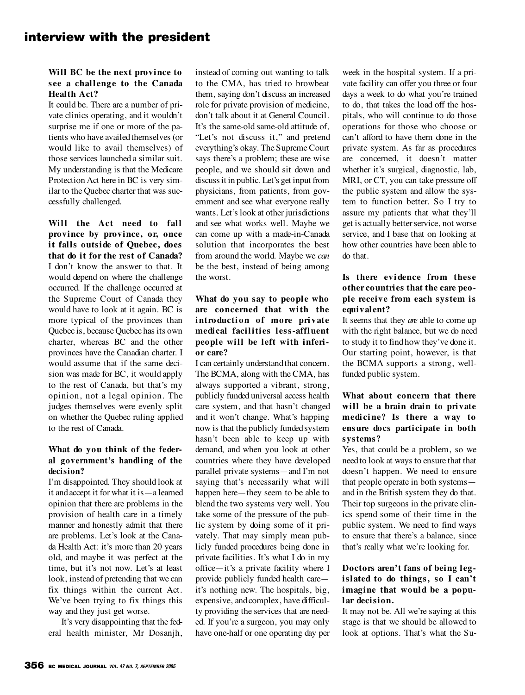## **interview with the president**

#### **Will BC be the next province to see a chal lenge to the Canada Health Act?**

It could be. There are a number of private clinics operating, and it wouldn't surprise me if one or more of the patients who have availedthemselves (or would like to avail themselves) of those services launched a similar suit. My understanding is that the Medicare Protection Act here in BC is very similar to the Quebec charter that was successfully challenged.

Will the Act need to fall **province by province, or, once it falls outside of Quebec, does that do it for the rest of Canada?** I don't know the answer to that. It would depend on where the challenge occurred. If the challenge occurred at the Supreme Court of Canada they would have to look at it again. BC is more typical of the provinces than Quebec is, because Quebec has its own charter, whereas BC and the other provinces have the Canadian charter. I would assume that if the same decision was made for BC, it would apply to the rest of Canada, but that's my opinion, not a legal opinion. The judges themselves were evenly split on whether the Quebec ruling applied to the rest of Canada.

#### **What do you think of the federal government's handling of the decision?**

I'm disappointed. They should look at it andaccept it for what it is—a learned opinion that there are problems in the provision of health care in a timely manner and honestly admit that there are problems. Let's look at the Canada Health Act: it's more than 20 years old, and maybe it was perfect at the time, but it's not now. Let's at least look, insteadof pretending that we can fix things within the current Act. We've been trying to fix things this way and they just get worse.

It's very disappointing that the federal health minister, Mr Dosanjh,

instead of coming out wanting to talk to the CMA, has tried to browbeat them, saying don't discuss an increased role for private provision of medicine, don't talk about it at General Council. It's the same-old same-old attitude of, "Let's not discuss it," and pretend everything's okay. The Supreme Court says there's a problem; these are wise people, and we should sit down and discuss it in public. Let's get input from physicians, from patients, from government and see what everyone really wants. Let's look at other jurisdictions and see what works well. Maybe we can come up with a made-in-Canada solution that incorporates the best from around the world. Maybe we *can* be the best, instead of being among the worst.

#### **What do you say to people who** are concerned that with the **i ntroducti on of more pri vate medical facilities less-affluent people will be left with inferior care?**

I can certainly understandthat concern. The BCMA, along with the CMA, has always supported a vibrant, strong, publicly funded universal access health care system, and that hasn't changed and it won't change. What's happing now is that the publicly fundedsystem hasn't been able to keep up with demand, and when you look at other countries where they have developed parallel private systems—and I'm not saying that's necessarily what will happen here—they seem to be able to blend the two systems very well. You take some of the pressure of the public system by doing some of it privately. That may simply mean publicly funded procedures being done in private facilities. It's what I do in my office—it's a private facility where I provide publicly funded health care it's nothing new. The hospitals, big, expensive, andcomplex, have difficulty providing the services that are needed. If you're a surgeon, you may only have one-half or one operating day per week in the hospital system. If a private facility can offer you three or four days a week to do what you're trained to do, that takes the load off the hospitals, who will continue to do those operations for those who choose or can't afford to have them done in the private system. As far as procedures are concerned, it doesn't matter whether it's surgical, diagnostic, lab, MRI, or CT, you can take pressure off the public system and allow the system to function better. So I try to assure my patients that what they'll get is actually better service, not worse service, and I base that on looking at how other countries have been able to do that.

#### **Is there evi dence from these other countries that the care people receive from each system is equivalent?**

It seems that they *are* able to come up with the right balance, but we do need to study it to find how they've done it. Our starting point, however, is that the BCMA supports a strong, wellfunded public system.

#### **What about concern that there will be a brain drain to private** medicine? Is there a way to **ensure docs participate in both systems?**

Yes, that could be a problem, so we needto look at ways to ensure that that doesn't happen. We need to ensure that people operate in both systems and in the British system they do that. Their top surgeons in the private clinics spend some of their time in the public system. We need to find ways to ensure that there's a balance, since that's really what we're looking for.

#### **Doctors aren't fans of being legislated to do things, so I can't imagine that would be a popular decision.**

It may not be. All we're saying at this stage is that we should be allowed to look at options. That's what the Su-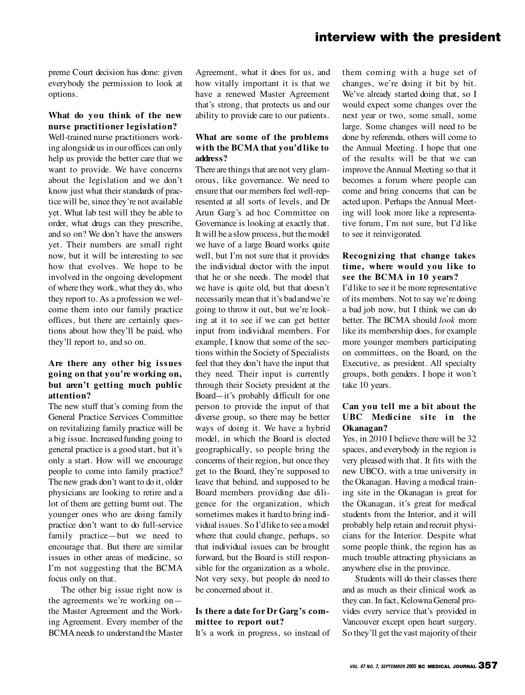### **interview with the president**

preme Court decision has done: given everybody the permission to look at options.

#### **What do you think of the new nurse practitioner legislation?**

Well-trained nurse practitioners working alongside us in our offices can only help us provide the better care that we want to provide. We have concerns about the legislation and we don't know just what their standards of practice will be, since they're not available yet. What lab test will they be able to order, what drugs can they prescribe, and so on? We don't have the answers yet. Their numbers are small right now, but it will be interesting to see how that evolves. We hope to be involved in the ongoing development of where they work, what they do, who they report to. As a profession we welcome them into our family practice offices, but there are certainly questions about how they'll be paid, who they'll report to, and so on.

#### **Are there any other big issues going on that you're working on, but aren't getting much public attention?**

The new stuff that's coming from the General Practice Services Committee on revitalizing family practice will be a big issue. Increasedfunding going to general practice is a good start, but it's only a start. How will we encourage people to come into family practice? The new grads don't want to do it, older physicians are looking to retire and a lot of them are getting burnt out. The younger ones who are doing family practice don't want to do full-service family practice—but we need to encourage that. But there are similar issues in other areas of medicine, so I'm not suggesting that the BCMA focus only on that.

The other big issue right now is the agreements we're working on the Master Agreement and the Working Agreement. Every member of the BCMA needs to understand the Master

Agreement, what it does for us, and how vitally important it is that we have a renewed Master Agreement that's strong, that protects us and our ability to provide care to our patients.

#### **What are some of the problems with the BCMA that you'd like to address?**

There are things that are not very glamorous, like governance. We need to ensure that our members feel well-represented at all sorts of levels, and Dr Arun Garg's ad hoc Committee on Governance is looking at exactly that. It will be a slow process, but the model we have of a large Board works quite well, but I'm not sure that it provides the individual doctor with the input that he or she needs. The model that we have is quite old, but that doesn't necessarily mean that it's badandwe're going to throw it out, but we're looking at it to see if we can get better input from individual members. For example, I know that some of the sections within the Society of Specialists feel that they don't have the input that they need. Their input is currently through their Society president at the Board—it's probably difficult for one person to provide the input of that diverse group, so there may be better ways of doing it. We have a hybrid model, in which the Board is elected geographically, so people bring the concerns of their region, but once they get to the Board, they're supposed to leave that behind, and supposed to be Board members providing due diligence for the organization, which sometimes makes it hardto bring individual issues. So I'dlike to see a model where that could change, perhaps, so that individual issues can be brought forward, but the Board is still responsible for the organization as a whole. Not very sexy, but people do need to be concerned about it.

#### **Is there a date for Dr Garg's committee to report out?**

It's a work in progress, so instead of

them coming with a huge set of changes, we're doing it bit by bit. We've already started doing that, so I would expect some changes over the next year or two, some small, some large. Some changes will need to be done by referenda, others will come to the Annual Meeting. I hope that one of the results will be that we can improve theAnnual Meeting so that it becomes a forum where people can come and bring concerns that can be acted upon. Perhaps the Annual Meeting will look more like a representative forum, I'm not sure, but I'd like to see it reinvigorated.

#### **Recognizing that change takes time, where would you like to see the BCMA in 10 years?**

I'dlike to see it be more representative of its members. Not to say we're doing a bad job now, but I think we can do better. The BCMA should *look* more like its membership does, for example more younger members participating on committees, on the Board, on the Executive, as president. All specialty groups, both genders. I hope it won't take 10 years.

#### **Can you tell me a bit about the UBC** Medicine site in the **Okanagan?**

Yes, in 2010 I believe there will be 32 spaces, and everybody in the region is very pleased with that. It fits with the new UBCO, with a true university in the Okanagan. Having a medical training site in the Okanagan is great for the Okanagan, it's great for medical students from the Interior, and it will probably help retain and recruit physicians for the Interior. Despite what some people think, the region has as much trouble attracting physicians as anywhere else in the province.

Students will do their classes there and as much as their clinical work as they can. In fact, Kelowna General provides every service that's provided in Vancouver except open heart surgery. So they'll get the vast majority of their